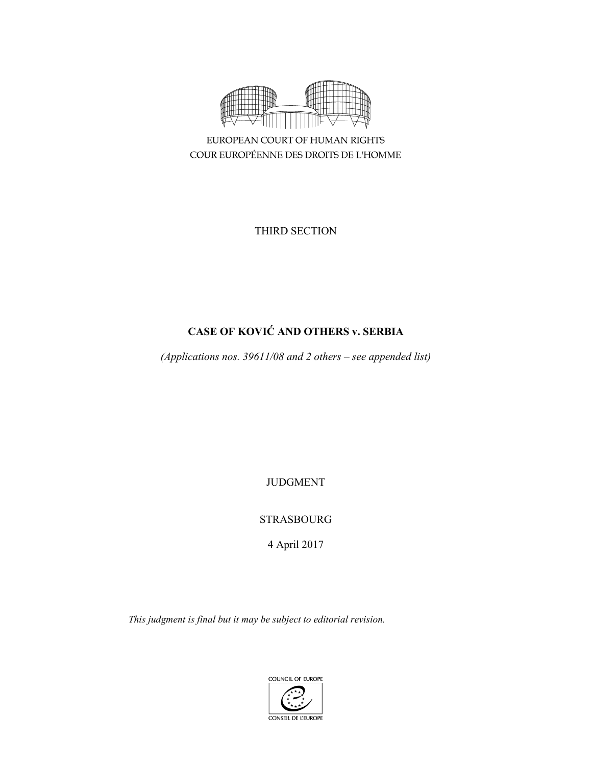

EUROPEAN COURT OF HUMAN RIGHTS COUR EUROPÉENNE DES DROITS DE L'HOMME

THIRD SECTION

# **CASE OF KOVIĆ AND OTHERS v. SERBIA**

*(Applications nos. 39611/08 and 2 others – see appended list)* 

JUDGMENT

STRASBOURG

4 April 2017

*This judgment is final but it may be subject to editorial revision.* 

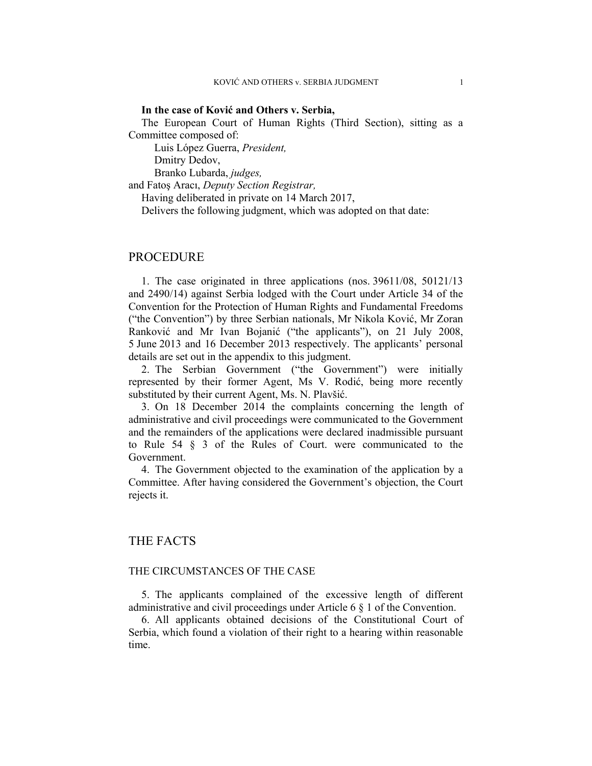### **In the case of Ković and Others v. Serbia,**

The European Court of Human Rights (Third Section), sitting as a Committee composed of:

 Luis López Guerra, *President,*  Dmitry Dedov,

Branko Lubarda, *judges,*

and Fatoş Aracı, *Deputy Section Registrar,*

Having deliberated in private on 14 March 2017,

Delivers the following judgment, which was adopted on that date:

# PROCEDURE

1. The case originated in three applications (nos. 39611/08, 50121/13 and 2490/14) against Serbia lodged with the Court under Article 34 of the Convention for the Protection of Human Rights and Fundamental Freedoms ("the Convention") by three Serbian nationals, Mr Nikola Ković, Mr Zoran Ranković and Mr Ivan Bojanić ("the applicants"), on 21 July 2008, 5 June 2013 and 16 December 2013 respectively. The applicants' personal details are set out in the appendix to this judgment.

2. The Serbian Government ("the Government") were initially represented by their former Agent, Ms V. Rodić, being more recently substituted by their current Agent, Ms. N. Plavšić.

3. On 18 December 2014 the complaints concerning the length of administrative and civil proceedings were communicated to the Government and the remainders of the applications were declared inadmissible pursuant to Rule 54 § 3 of the Rules of Court. were communicated to the Government.

4. The Government objected to the examination of the application by a Committee. After having considered the Government's objection, the Court rejects it.

# THE FACTS

# THE CIRCUMSTANCES OF THE CASE

5. The applicants complained of the excessive length of different administrative and civil proceedings under Article 6 § 1 of the Convention.

6. All applicants obtained decisions of the Constitutional Court of Serbia, which found a violation of their right to a hearing within reasonable time.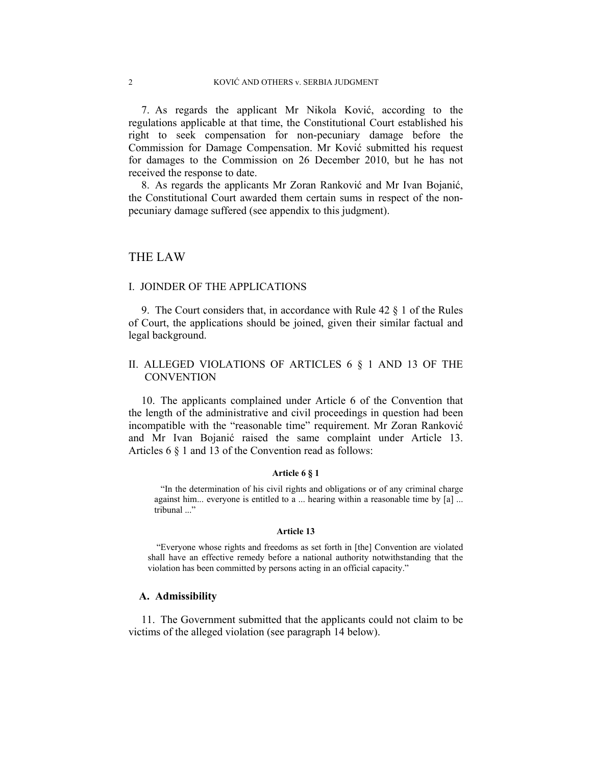7. As regards the applicant Mr Nikola Ković, according to the regulations applicable at that time, the Constitutional Court established his right to seek compensation for non-pecuniary damage before the Commission for Damage Compensation. Mr Ković submitted his request for damages to the Commission on 26 December 2010, but he has not received the response to date.

8. As regards the applicants Mr Zoran Ranković and Mr Ivan Bojanić, the Constitutional Court awarded them certain sums in respect of the nonpecuniary damage suffered (see appendix to this judgment).

# THE LAW

# I. JOINDER OF THE APPLICATIONS

9. The Court considers that, in accordance with Rule 42 § 1 of the Rules of Court, the applications should be joined, given their similar factual and legal background.

# II. ALLEGED VIOLATIONS OF ARTICLES 6 § 1 AND 13 OF THE **CONVENTION**

10. The applicants complained under Article 6 of the Convention that the length of the administrative and civil proceedings in question had been incompatible with the "reasonable time" requirement. Mr Zoran Ranković and Mr Ivan Bojanić raised the same complaint under Article 13. Articles 6 § 1 and 13 of the Convention read as follows:

## **Article 6 § 1**

"In the determination of his civil rights and obligations or of any criminal charge against him... everyone is entitled to a ... hearing within a reasonable time by [a] ... tribunal ..."

#### **Article 13**

 "Everyone whose rights and freedoms as set forth in [the] Convention are violated shall have an effective remedy before a national authority notwithstanding that the violation has been committed by persons acting in an official capacity."

#### **A. Admissibility**

11. The Government submitted that the applicants could not claim to be victims of the alleged violation (see paragraph 14 below).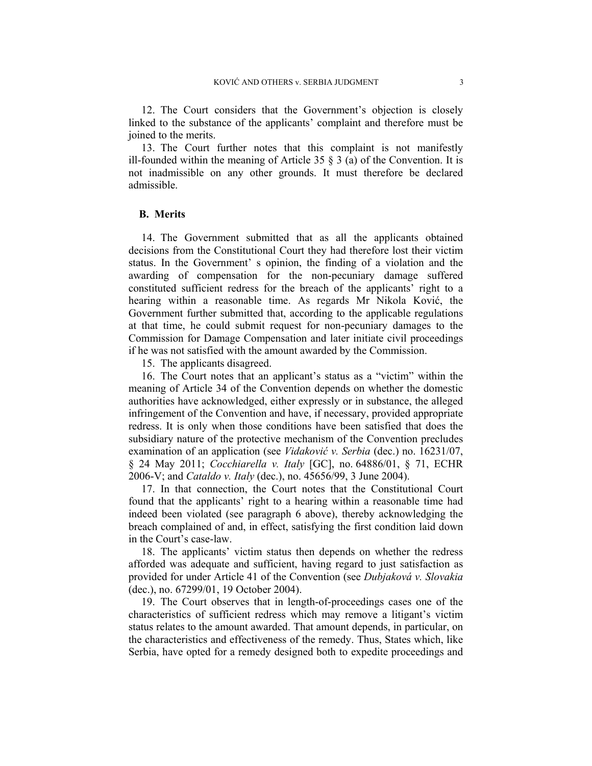12. The Court considers that the Government's objection is closely linked to the substance of the applicants' complaint and therefore must be joined to the merits.

13. The Court further notes that this complaint is not manifestly ill-founded within the meaning of Article 35  $\S$  3 (a) of the Convention. It is not inadmissible on any other grounds. It must therefore be declared admissible.

### **B. Merits**

14. The Government submitted that as all the applicants obtained decisions from the Constitutional Court they had therefore lost their victim status. In the Government' s opinion, the finding of a violation and the awarding of compensation for the non-pecuniary damage suffered constituted sufficient redress for the breach of the applicants' right to a hearing within a reasonable time. As regards Mr Nikola Ković, the Government further submitted that, according to the applicable regulations at that time, he could submit request for non-pecuniary damages to the Commission for Damage Compensation and later initiate civil proceedings if he was not satisfied with the amount awarded by the Commission.

15. The applicants disagreed.

16. The Court notes that an applicant's status as a "victim" within the meaning of Article 34 of the Convention depends on whether the domestic authorities have acknowledged, either expressly or in substance, the alleged infringement of the Convention and have, if necessary, provided appropriate redress. It is only when those conditions have been satisfied that does the subsidiary nature of the protective mechanism of the Convention precludes examination of an application (see *Vidaković v. Serbia* (dec.) no. 16231/07, § 24 May 2011; *Cocchiarella v. Italy* [GC], no. 64886/01, § 71, ECHR 2006-V; and *Cataldo v. Italy* (dec.), no. 45656/99, 3 June 2004).

17. In that connection, the Court notes that the Constitutional Court found that the applicants' right to a hearing within a reasonable time had indeed been violated (see paragraph 6 above), thereby acknowledging the breach complained of and, in effect, satisfying the first condition laid down in the Court's case-law.

18. The applicants' victim status then depends on whether the redress afforded was adequate and sufficient, having regard to just satisfaction as provided for under Article 41 of the Convention (see *Dubjaková v. Slovakia* (dec.), no. 67299/01, 19 October 2004).

19. The Court observes that in length-of-proceedings cases one of the characteristics of sufficient redress which may remove a litigant's victim status relates to the amount awarded. That amount depends, in particular, on the characteristics and effectiveness of the remedy. Thus, States which, like Serbia, have opted for a remedy designed both to expedite proceedings and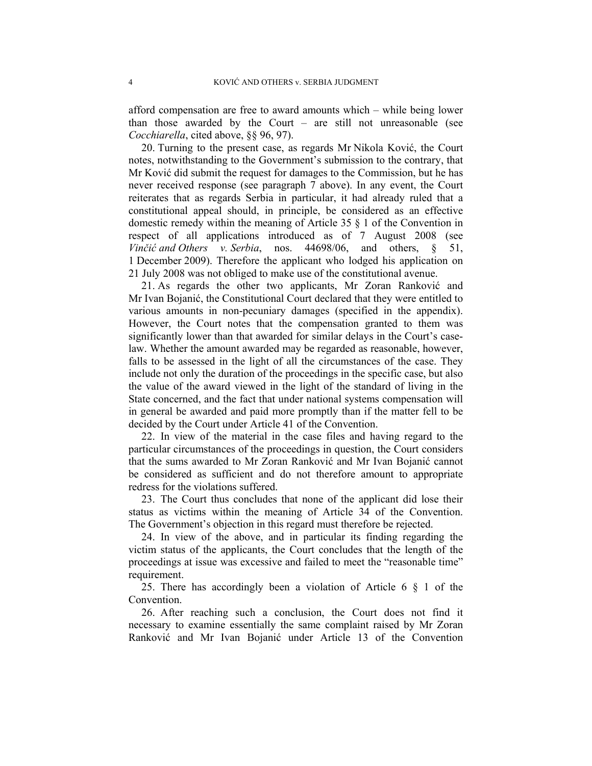afford compensation are free to award amounts which – while being lower than those awarded by the Court – are still not unreasonable (see *Cocchiarella*, cited above, §§ 96, 97).

20. Turning to the present case, as regards Mr Nikola Ković, the Court notes, notwithstanding to the Government's submission to the contrary, that Mr Ković did submit the request for damages to the Commission, but he has never received response (see paragraph 7 above). In any event, the Court reiterates that as regards Serbia in particular, it had already ruled that a constitutional appeal should, in principle, be considered as an effective domestic remedy within the meaning of Article 35 § 1 of the Convention in respect of all applications introduced as of 7 August 2008 (see *Vinčić and Others v. Serbia*, nos. 44698/06, and others, § 51, 1 December 2009). Therefore the applicant who lodged his application on 21 July 2008 was not obliged to make use of the constitutional avenue.

21. As regards the other two applicants, Mr Zoran Ranković and Mr Ivan Bojanić, the Constitutional Court declared that they were entitled to various amounts in non-pecuniary damages (specified in the appendix). However, the Court notes that the compensation granted to them was significantly lower than that awarded for similar delays in the Court's caselaw. Whether the amount awarded may be regarded as reasonable, however, falls to be assessed in the light of all the circumstances of the case. They include not only the duration of the proceedings in the specific case, but also the value of the award viewed in the light of the standard of living in the State concerned, and the fact that under national systems compensation will in general be awarded and paid more promptly than if the matter fell to be decided by the Court under Article 41 of the Convention.

22. In view of the material in the case files and having regard to the particular circumstances of the proceedings in question, the Court considers that the sums awarded to Mr Zoran Ranković and Mr Ivan Bojanić cannot be considered as sufficient and do not therefore amount to appropriate redress for the violations suffered.

23. The Court thus concludes that none of the applicant did lose their status as victims within the meaning of Article 34 of the Convention. The Government's objection in this regard must therefore be rejected.

24. In view of the above, and in particular its finding regarding the victim status of the applicants, the Court concludes that the length of the proceedings at issue was excessive and failed to meet the "reasonable time" requirement.

25. There has accordingly been a violation of Article 6 § 1 of the Convention.

26. After reaching such a conclusion, the Court does not find it necessary to examine essentially the same complaint raised by Mr Zoran Ranković and Mr Ivan Bojanić under Article 13 of the Convention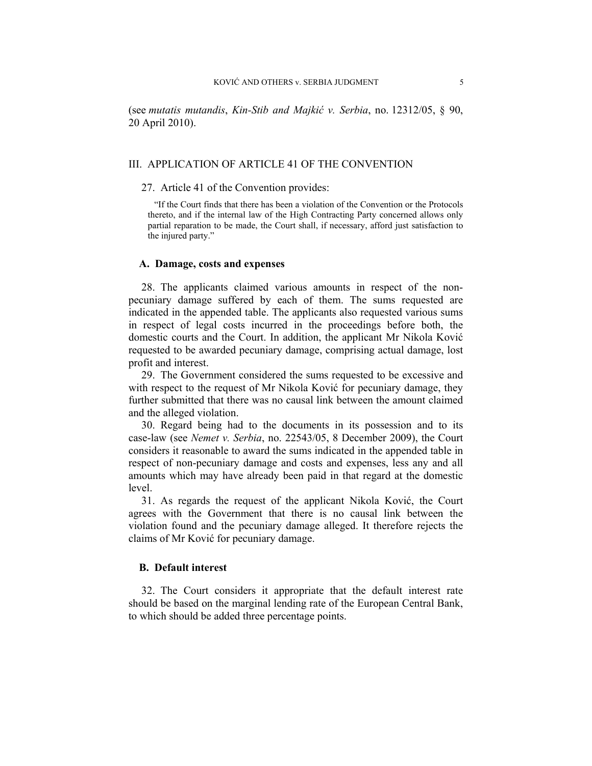(see *mutatis mutandis*, *Kin-Stib and Majkić v. Serbia*, no. 12312/05, § 90, 20 April 2010).

### III. APPLICATION OF ARTICLE 41 OF THE CONVENTION

### 27. Article 41 of the Convention provides:

"If the Court finds that there has been a violation of the Convention or the Protocols thereto, and if the internal law of the High Contracting Party concerned allows only partial reparation to be made, the Court shall, if necessary, afford just satisfaction to the injured party."

#### **A. Damage, costs and expenses**

28. The applicants claimed various amounts in respect of the nonpecuniary damage suffered by each of them. The sums requested are indicated in the appended table. The applicants also requested various sums in respect of legal costs incurred in the proceedings before both, the domestic courts and the Court. In addition, the applicant Mr Nikola Ković requested to be awarded pecuniary damage, comprising actual damage, lost profit and interest.

29. The Government considered the sums requested to be excessive and with respect to the request of Mr Nikola Ković for pecuniary damage, they further submitted that there was no causal link between the amount claimed and the alleged violation.

30. Regard being had to the documents in its possession and to its case-law (see *Nemet v. Serbia*, no. 22543/05, 8 December 2009), the Court considers it reasonable to award the sums indicated in the appended table in respect of non-pecuniary damage and costs and expenses, less any and all amounts which may have already been paid in that regard at the domestic level.

31. As regards the request of the applicant Nikola Ković, the Court agrees with the Government that there is no causal link between the violation found and the pecuniary damage alleged. It therefore rejects the claims of Mr Ković for pecuniary damage.

## **B. Default interest**

32. The Court considers it appropriate that the default interest rate should be based on the marginal lending rate of the European Central Bank, to which should be added three percentage points.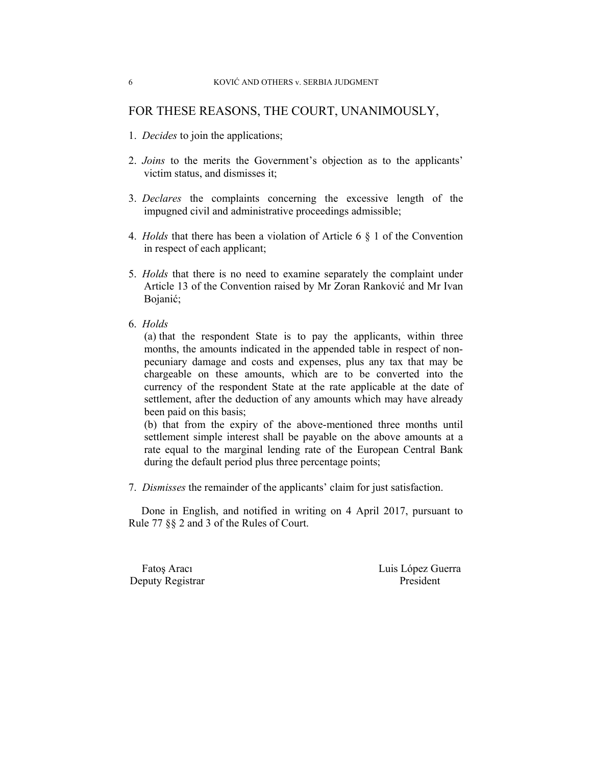# FOR THESE REASONS, THE COURT, UNANIMOUSLY,

- 1. *Decides* to join the applications;
- 2. *Joins* to the merits the Government's objection as to the applicants' victim status, and dismisses it;
- 3. *Declares* the complaints concerning the excessive length of the impugned civil and administrative proceedings admissible;
- 4. *Holds* that there has been a violation of Article 6 § 1 of the Convention in respect of each applicant;
- 5. *Holds* that there is no need to examine separately the complaint under Article 13 of the Convention raised by Mr Zoran Ranković and Mr Ivan Bojanić;
- 6. *Holds*

(a) that the respondent State is to pay the applicants, within three months, the amounts indicated in the appended table in respect of nonpecuniary damage and costs and expenses, plus any tax that may be chargeable on these amounts, which are to be converted into the currency of the respondent State at the rate applicable at the date of settlement, after the deduction of any amounts which may have already been paid on this basis;

(b) that from the expiry of the above-mentioned three months until settlement simple interest shall be payable on the above amounts at a rate equal to the marginal lending rate of the European Central Bank during the default period plus three percentage points;

7. *Dismisses* the remainder of the applicants' claim for just satisfaction.

Done in English, and notified in writing on 4 April 2017, pursuant to Rule 77 §§ 2 and 3 of the Rules of Court.

Deputy Registrar President

Fatoş Aracı **Luis López Guerra**